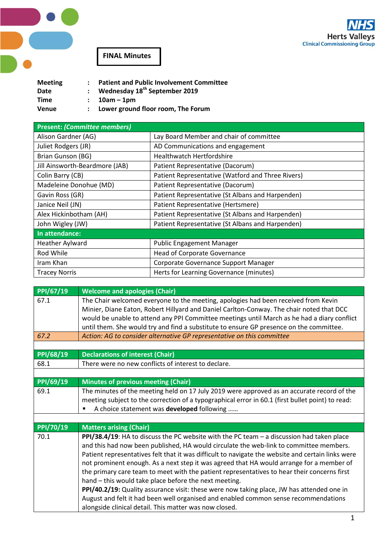

**FINAL Minutes**

 $\overline{\phantom{a}}$ 

| <b>Meeting</b> | <b>Patient and Public Involvement Committee</b> |
|----------------|-------------------------------------------------|
| Date           | : Wednesday $18th$ September 2019               |
| Time           | $: 10am - 1pm$                                  |
| Venue          | Lower ground floor room, The Forum              |

| <b>Present: (Committee members)</b> |                                                   |  |  |
|-------------------------------------|---------------------------------------------------|--|--|
| Alison Gardner (AG)                 | Lay Board Member and chair of committee           |  |  |
| Juliet Rodgers (JR)                 | AD Communications and engagement                  |  |  |
| Brian Gunson (BG)                   | <b>Healthwatch Hertfordshire</b>                  |  |  |
| Jill Ainsworth-Beardmore (JAB)      | Patient Representative (Dacorum)                  |  |  |
| Colin Barry (CB)                    | Patient Representative (Watford and Three Rivers) |  |  |
| Madeleine Donohue (MD)              | Patient Representative (Dacorum)                  |  |  |
| Gavin Ross (GR)                     | Patient Representative (St Albans and Harpenden)  |  |  |
| Janice Neil (JN)                    | Patient Representative (Hertsmere)                |  |  |
| Alex Hickinbotham (AH)              | Patient Representative (St Albans and Harpenden)  |  |  |
| John Wigley (JW)                    | Patient Representative (St Albans and Harpenden)  |  |  |
| In attendance:                      |                                                   |  |  |
| <b>Heather Aylward</b>              | <b>Public Engagement Manager</b>                  |  |  |
| Rod While                           | <b>Head of Corporate Governance</b>               |  |  |
| Iram Khan                           | Corporate Governance Support Manager              |  |  |
| <b>Tracey Norris</b>                | Herts for Learning Governance (minutes)           |  |  |

| PPI/67/19 | <b>Welcome and apologies (Chair)</b>                                                                                                                                                                                                                                                                                                                                                                                                                                                                                                                                                                                                                                                                                                                                                         |
|-----------|----------------------------------------------------------------------------------------------------------------------------------------------------------------------------------------------------------------------------------------------------------------------------------------------------------------------------------------------------------------------------------------------------------------------------------------------------------------------------------------------------------------------------------------------------------------------------------------------------------------------------------------------------------------------------------------------------------------------------------------------------------------------------------------------|
| 67.1      | The Chair welcomed everyone to the meeting, apologies had been received from Kevin<br>Minier, Diane Eaton, Robert Hillyard and Daniel Carlton-Conway. The chair noted that DCC<br>would be unable to attend any PPI Committee meetings until March as he had a diary conflict<br>until them. She would try and find a substitute to ensure GP presence on the committee.                                                                                                                                                                                                                                                                                                                                                                                                                     |
| 67.2      | Action: AG to consider alternative GP representative on this committee                                                                                                                                                                                                                                                                                                                                                                                                                                                                                                                                                                                                                                                                                                                       |
|           |                                                                                                                                                                                                                                                                                                                                                                                                                                                                                                                                                                                                                                                                                                                                                                                              |
| PPI/68/19 | <b>Declarations of interest (Chair)</b>                                                                                                                                                                                                                                                                                                                                                                                                                                                                                                                                                                                                                                                                                                                                                      |
| 68.1      | There were no new conflicts of interest to declare.                                                                                                                                                                                                                                                                                                                                                                                                                                                                                                                                                                                                                                                                                                                                          |
|           |                                                                                                                                                                                                                                                                                                                                                                                                                                                                                                                                                                                                                                                                                                                                                                                              |
| PPI/69/19 | <b>Minutes of previous meeting (Chair)</b>                                                                                                                                                                                                                                                                                                                                                                                                                                                                                                                                                                                                                                                                                                                                                   |
| 69.1      | The minutes of the meeting held on 17 July 2019 were approved as an accurate record of the<br>meeting subject to the correction of a typographical error in 60.1 (first bullet point) to read:<br>A choice statement was developed following<br>٠                                                                                                                                                                                                                                                                                                                                                                                                                                                                                                                                            |
|           |                                                                                                                                                                                                                                                                                                                                                                                                                                                                                                                                                                                                                                                                                                                                                                                              |
| PPI/70/19 | <b>Matters arising (Chair)</b>                                                                                                                                                                                                                                                                                                                                                                                                                                                                                                                                                                                                                                                                                                                                                               |
| 70.1      | PPI/38.4/19: HA to discuss the PC website with the PC team $-$ a discussion had taken place<br>and this had now been published, HA would circulate the web-link to committee members.<br>Patient representatives felt that it was difficult to navigate the website and certain links were<br>not prominent enough. As a next step it was agreed that HA would arrange for a member of<br>the primary care team to meet with the patient representatives to hear their concerns first<br>hand - this would take place before the next meeting.<br>PPI/40.2/19: Quality assurance visit: these were now taking place, JW has attended one in<br>August and felt it had been well organised and enabled common sense recommendations<br>alongside clinical detail. This matter was now closed. |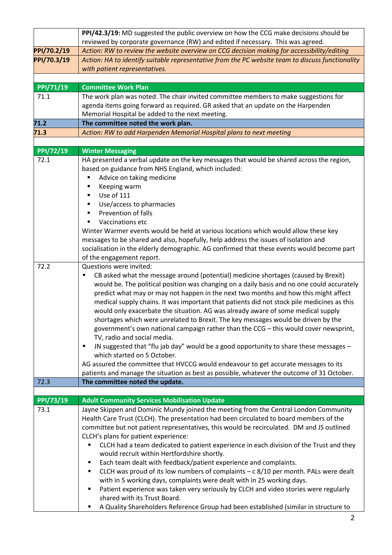|             | PPI/42.3/19: MD suggested the public overview on how the CCG make decisions should be                                         |
|-------------|-------------------------------------------------------------------------------------------------------------------------------|
|             | reviewed by corporate governance (RW) and edited if necessary. This was agreed.                                               |
| PPI/70.2/19 | Action: RW to review the website overview on CCG decision making for accessibility/editing                                    |
| PPI/70.3/19 | Action: HA to identify suitable representative from the PC website team to discuss functionality                              |
|             | with patient representatives.                                                                                                 |
|             |                                                                                                                               |
| PPI/71/19   | <b>Committee Work Plan</b>                                                                                                    |
| 71.1        | The work plan was noted. The chair invited committee members to make suggestions for                                          |
|             | agenda items going forward as required. GR asked that an update on the Harpenden                                              |
|             | Memorial Hospital be added to the next meeting.                                                                               |
| 71.2        | The committee noted the work plan.                                                                                            |
| 71.3        | Action: RW to add Harpenden Memorial Hospital plans to next meeting                                                           |
|             |                                                                                                                               |
| PPI/72/19   | <b>Winter Messaging</b>                                                                                                       |
| 72.1        | HA presented a verbal update on the key messages that would be shared across the region,                                      |
|             | based on guidance from NHS England, which included:                                                                           |
|             | Advice on taking medicine<br>Keeping warm                                                                                     |
|             | Use of 111<br>٠                                                                                                               |
|             | Use/access to pharmacies<br>٠                                                                                                 |
|             | Prevention of falls                                                                                                           |
|             | Vaccinations etc                                                                                                              |
|             | Winter Warmer events would be held at various locations which would allow these key                                           |
|             | messages to be shared and also, hopefully, help address the issues of isolation and                                           |
|             | socialisation in the elderly demographic. AG confirmed that these events would become part                                    |
|             | of the engagement report.                                                                                                     |
| 72.2        | Questions were invited:                                                                                                       |
|             | CB asked what the message around (potential) medicine shortages (caused by Brexit)<br>٠                                       |
|             | would be. The political position was changing on a daily basis and no one could accurately                                    |
|             | predict what may or may not happen in the next two months and how this might affect                                           |
|             | medical supply chains. It was important that patients did not stock pile medicines as this                                    |
|             | would only exacerbate the situation. AG was already aware of some medical supply                                              |
|             | shortages which were unrelated to Brexit. The key messages would be driven by the                                             |
|             | government's own national campaign rather than the CCG - this would cover newsprint,                                          |
|             | TV, radio and social media.                                                                                                   |
|             | JN suggested that "flu jab day" would be a good opportunity to share these messages -<br>٠                                    |
|             | which started on 5 October.                                                                                                   |
|             | AG assured the committee that HVCCG would endeavour to get accurate messages to its                                           |
| 72.3        | patients and manage the situation as best as possible, whatever the outcome of 31 October.<br>The committee noted the update. |
|             |                                                                                                                               |
| PPI/73/19   | <b>Adult Community Services Mobilisation Update</b>                                                                           |
| 73.1        | Jayne Skippen and Dominic Mundy joined the meeting from the Central London Community                                          |
|             | Health Care Trust (CLCH). The presentation had been circulated to board members of the                                        |
|             | committee but not patient representatives, this would be recirculated. DM and JS outlined                                     |
|             | CLCH's plans for patient experience:                                                                                          |
|             | CLCH had a team dedicated to patient experience in each division of the Trust and they<br>٠                                   |
|             | would recruit within Hertfordshire shortly.                                                                                   |
|             | Each team dealt with feedback/patient experience and complaints.<br>п                                                         |
|             | CLCH was proud of its low numbers of complaints $- c 8/10$ per month. PALs were dealt<br>п                                    |
|             | with in 5 working days, complaints were dealt with in 25 working days.                                                        |
|             | Patient experience was taken very seriously by CLCH and video stories were regularly<br>Ξ                                     |
|             | shared with its Trust Board.                                                                                                  |
|             | A Quality Shareholders Reference Group had been established (similar in structure to                                          |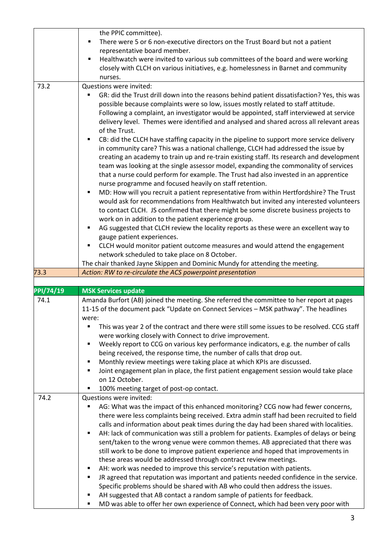|                   | the PPIC committee).                                                                               |
|-------------------|----------------------------------------------------------------------------------------------------|
|                   | There were 5 or 6 non-executive directors on the Trust Board but not a patient<br>٠                |
|                   | representative board member.                                                                       |
|                   | Healthwatch were invited to various sub committees of the board and were working<br>$\blacksquare$ |
|                   | closely with CLCH on various initiatives, e.g. homelessness in Barnet and community                |
|                   | nurses.                                                                                            |
| 73.2              | Questions were invited:                                                                            |
|                   | GR: did the Trust drill down into the reasons behind patient dissatisfaction? Yes, this was        |
|                   | possible because complaints were so low, issues mostly related to staff attitude.                  |
|                   | Following a complaint, an investigator would be appointed, staff interviewed at service            |
|                   | delivery level. Themes were identified and analysed and shared across all relevant areas           |
|                   | of the Trust.                                                                                      |
|                   | CB: did the CLCH have staffing capacity in the pipeline to support more service delivery<br>п      |
|                   |                                                                                                    |
|                   | in community care? This was a national challenge, CLCH had addressed the issue by                  |
|                   | creating an academy to train up and re-train existing staff. Its research and development          |
|                   | team was looking at the single assessor model, expanding the commonality of services               |
|                   | that a nurse could perform for example. The Trust had also invested in an apprentice               |
|                   | nurse programme and focused heavily on staff retention.                                            |
|                   | MD: How will you recruit a patient representative from within Hertfordshire? The Trust<br>п        |
|                   | would ask for recommendations from Healthwatch but invited any interested volunteers               |
|                   | to contact CLCH. JS confirmed that there might be some discrete business projects to               |
|                   | work on in addition to the patient experience group.                                               |
|                   | AG suggested that CLCH review the locality reports as these were an excellent way to<br>п          |
|                   | gauge patient experiences.                                                                         |
|                   | CLCH would monitor patient outcome measures and would attend the engagement<br>٠                   |
|                   | network scheduled to take place on 8 October.                                                      |
|                   | The chair thanked Jayne Skippen and Dominic Mundy for attending the meeting.                       |
|                   |                                                                                                    |
|                   |                                                                                                    |
|                   | Action: RW to re-circulate the ACS powerpoint presentation                                         |
|                   |                                                                                                    |
|                   | <b>MSK Services update</b>                                                                         |
| 74.1              | Amanda Burfort (AB) joined the meeting. She referred the committee to her report at pages          |
|                   | 11-15 of the document pack "Update on Connect Services - MSK pathway". The headlines               |
|                   | were:                                                                                              |
|                   | This was year 2 of the contract and there were still some issues to be resolved. CCG staff<br>п    |
|                   | were working closely with Connect to drive improvement.                                            |
|                   | Weekly report to CCG on various key performance indicators, e.g. the number of calls<br>٠          |
|                   | being received, the response time, the number of calls that drop out.                              |
|                   | Monthly review meetings were taking place at which KPIs are discussed.<br>٠                        |
|                   | Joint engagement plan in place, the first patient engagement session would take place<br>٠         |
|                   | on 12 October.                                                                                     |
|                   | ٠                                                                                                  |
| 74.2              | 100% meeting target of post-op contact.<br>Questions were invited:                                 |
|                   |                                                                                                    |
|                   | AG: What was the impact of this enhanced monitoring? CCG now had fewer concerns,                   |
|                   | there were less complaints being received. Extra admin staff had been recruited to field           |
|                   | calls and information about peak times during the day had been shared with localities.             |
|                   | AH: lack of communication was still a problem for patients. Examples of delays or being<br>٠       |
| 73.3<br>PPI/74/19 | sent/taken to the wrong venue were common themes. AB appreciated that there was                    |
|                   | still work to be done to improve patient experience and hoped that improvements in                 |
|                   | these areas would be addressed through contract review meetings.                                   |
|                   | AH: work was needed to improve this service's reputation with patients.<br>п                       |
|                   | JR agreed that reputation was important and patients needed confidence in the service.<br>٠        |
|                   | Specific problems should be shared with AB who could then address the issues.                      |
|                   | AH suggested that AB contact a random sample of patients for feedback.                             |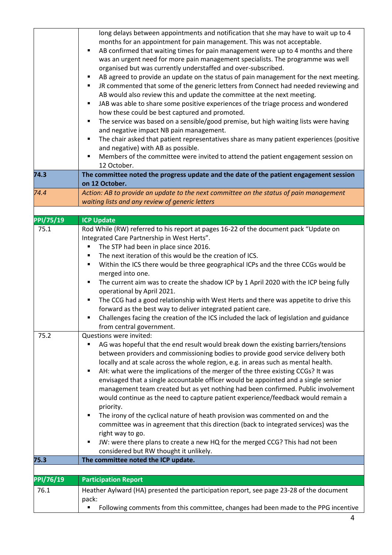|           | long delays between appointments and notification that she may have to wait up to 4           |
|-----------|-----------------------------------------------------------------------------------------------|
|           | months for an appointment for pain management. This was not acceptable.                       |
|           | AB confirmed that waiting times for pain management were up to 4 months and there<br>٠        |
|           | was an urgent need for more pain management specialists. The programme was well               |
|           | organised but was currently understaffed and over-subscribed.                                 |
|           | AB agreed to provide an update on the status of pain management for the next meeting.<br>٠    |
|           | JR commented that some of the generic letters from Connect had needed reviewing and<br>٠      |
|           | AB would also review this and update the committee at the next meeting.                       |
|           | JAB was able to share some positive experiences of the triage process and wondered<br>٠       |
|           | how these could be best captured and promoted.                                                |
|           | The service was based on a sensible/good premise, but high waiting lists were having<br>٠     |
|           | and negative impact NB pain management.                                                       |
|           | The chair asked that patient representatives share as many patient experiences (positive<br>٠ |
|           | and negative) with AB as possible.                                                            |
|           | Members of the committee were invited to attend the patient engagement session on<br>٠        |
|           | 12 October.                                                                                   |
| 74.3      | The committee noted the progress update and the date of the patient engagement session        |
|           | on 12 October.                                                                                |
| 74.4      | Action: AB to provide an update to the next committee on the status of pain management        |
|           | waiting lists and any review of generic letters                                               |
|           |                                                                                               |
| PPI/75/19 | <b>ICP Update</b>                                                                             |
| 75.1      | Rod While (RW) referred to his report at pages 16-22 of the document pack "Update on          |
|           | Integrated Care Partnership in West Herts".                                                   |
|           | The STP had been in place since 2016.<br>٠                                                    |
|           | The next iteration of this would be the creation of ICS.<br>٠                                 |
|           | Within the ICS there would be three geographical ICPs and the three CCGs would be<br>٠        |
|           |                                                                                               |
|           | merged into one.                                                                              |
|           | The current aim was to create the shadow ICP by 1 April 2020 with the ICP being fully<br>٠    |
|           | operational by April 2021.                                                                    |
|           | The CCG had a good relationship with West Herts and there was appetite to drive this<br>٠     |
|           | forward as the best way to deliver integrated patient care.                                   |
|           | Challenges facing the creation of the ICS included the lack of legislation and guidance<br>٠  |
|           | from central government.                                                                      |
| 75.2      | Questions were invited:                                                                       |
|           | AG was hopeful that the end result would break down the existing barriers/tensions            |
|           | between providers and commissioning bodies to provide good service delivery both              |
|           | locally and at scale across the whole region, e.g. in areas such as mental health.            |
|           | AH: what were the implications of the merger of the three existing CCGs? It was<br>٠          |
|           | envisaged that a single accountable officer would be appointed and a single senior            |
|           | management team created but as yet nothing had been confirmed. Public involvement             |
|           | would continue as the need to capture patient experience/feedback would remain a              |
|           | priority.                                                                                     |
|           | The irony of the cyclical nature of heath provision was commented on and the<br>٠             |
|           | committee was in agreement that this direction (back to integrated services) was the          |
|           | right way to go.                                                                              |
|           | JW: were there plans to create a new HQ for the merged CCG? This had not been<br>п            |
|           | considered but RW thought it unlikely.                                                        |
| 75.3      | The committee noted the ICP update.                                                           |
|           |                                                                                               |
| PPI/76/19 | <b>Participation Report</b>                                                                   |
| 76.1      | Heather Aylward (HA) presented the participation report, see page 23-28 of the document       |
|           | pack:                                                                                         |
|           | Following comments from this committee, changes had been made to the PPG incentive<br>п       |
|           |                                                                                               |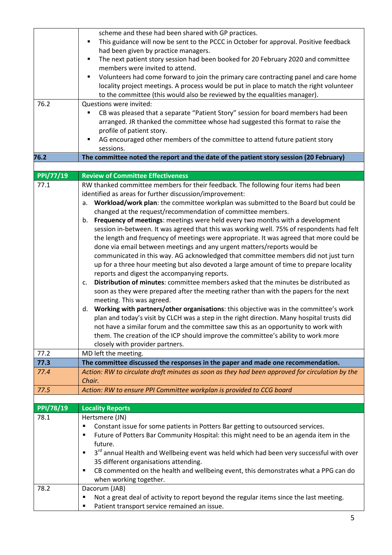|           | scheme and these had been shared with GP practices.<br>٠                                                                      |
|-----------|-------------------------------------------------------------------------------------------------------------------------------|
|           | This guidance will now be sent to the PCCC in October for approval. Positive feedback<br>had been given by practice managers. |
|           | The next patient story session had been booked for 20 February 2020 and committee<br>٠                                        |
|           | members were invited to attend.                                                                                               |
|           | Volunteers had come forward to join the primary care contracting panel and care home<br>٠                                     |
|           | locality project meetings. A process would be put in place to match the right volunteer                                       |
|           | to the committee (this would also be reviewed by the equalities manager).                                                     |
| 76.2      | Questions were invited:                                                                                                       |
|           | CB was pleased that a separate "Patient Story" session for board members had been<br>٠                                        |
|           | arranged. JR thanked the committee whose had suggested this format to raise the                                               |
|           | profile of patient story.                                                                                                     |
|           | AG encouraged other members of the committee to attend future patient story<br>п                                              |
|           | sessions.                                                                                                                     |
| 76.2      | The committee noted the report and the date of the patient story session (20 February)                                        |
|           |                                                                                                                               |
| PPI/77/19 | <b>Review of Committee Effectiveness</b>                                                                                      |
| 77.1      | RW thanked committee members for their feedback. The following four items had been                                            |
|           | identified as areas for further discussion/improvement:                                                                       |
|           | Workload/work plan: the committee workplan was submitted to the Board but could be<br>a.                                      |
|           | changed at the request/recommendation of committee members.                                                                   |
|           | Frequency of meetings: meetings were held every two months with a development<br>b.                                           |
|           | session in-between. It was agreed that this was working well. 75% of respondents had felt                                     |
|           | the length and frequency of meetings were appropriate. It was agreed that more could be                                       |
|           | done via email between meetings and any urgent matters/reports would be                                                       |
|           | communicated in this way. AG acknowledged that committee members did not just turn                                            |
|           | up for a three hour meeting but also devoted a large amount of time to prepare locality                                       |
|           | reports and digest the accompanying reports.                                                                                  |
|           | Distribution of minutes: committee members asked that the minutes be distributed as<br>c.                                     |
|           | soon as they were prepared after the meeting rather than with the papers for the next                                         |
|           | meeting. This was agreed.                                                                                                     |
|           | Working with partners/other organisations: this objective was in the committee's work<br>d.                                   |
|           | plan and today's visit by CLCH was a step in the right direction. Many hospital trusts did                                    |
|           | not have a similar forum and the committee saw this as an opportunity to work with                                            |
|           | them. The creation of the ICP should improve the committee's ability to work more                                             |
|           | closely with provider partners.                                                                                               |
| 77.2      | MD left the meeting.                                                                                                          |
| 77.3      | The committee discussed the responses in the paper and made one recommendation.                                               |
| 77.4      | Action: RW to circulate draft minutes as soon as they had been approved for circulation by the<br>Chair.                      |
| 77.5      | Action: RW to ensure PPI Committee workplan is provided to CCG board                                                          |
|           |                                                                                                                               |
| PPI/78/19 | <b>Locality Reports</b>                                                                                                       |
| 78.1      | Hertsmere (JN)                                                                                                                |
|           | Constant issue for some patients in Potters Bar getting to outsourced services.<br>п                                          |
|           | Future of Potters Bar Community Hospital: this might need to be an agenda item in the<br>٠                                    |
|           | future.                                                                                                                       |
|           | 3 <sup>rd</sup> annual Health and Wellbeing event was held which had been very successful with over<br>$\blacksquare$         |
|           | 35 different organisations attending.                                                                                         |
|           | CB commented on the health and wellbeing event, this demonstrates what a PPG can do<br>п                                      |
|           | when working together.                                                                                                        |
| 78.2      | Dacorum (JAB)                                                                                                                 |
|           | Not a great deal of activity to report beyond the regular items since the last meeting.<br>Е                                  |
|           | Patient transport service remained an issue.<br>٠                                                                             |